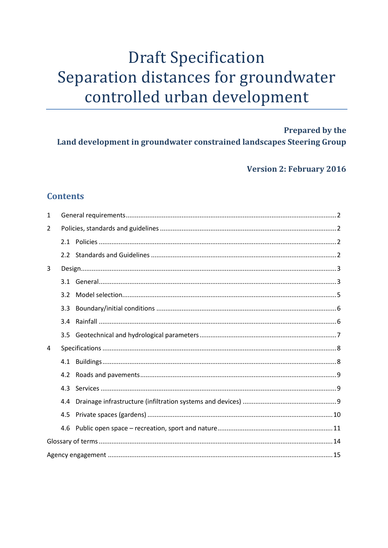# **Draft Specification** Separation distances for groundwater controlled urban development

**Prepared by the** Land development in groundwater constrained landscapes Steering Group

**Version 2: February 2016** 

# **Contents**

| 1 |     |  |  |
|---|-----|--|--|
| 2 |     |  |  |
|   |     |  |  |
|   |     |  |  |
| 3 |     |  |  |
|   |     |  |  |
|   | 3.2 |  |  |
|   | 3.3 |  |  |
|   | 3.4 |  |  |
|   | 3.5 |  |  |
| 4 |     |  |  |
|   |     |  |  |
|   | 4.2 |  |  |
|   | 4.3 |  |  |
|   | 4.4 |  |  |
|   | 4.5 |  |  |
|   | 4.6 |  |  |
|   |     |  |  |
|   |     |  |  |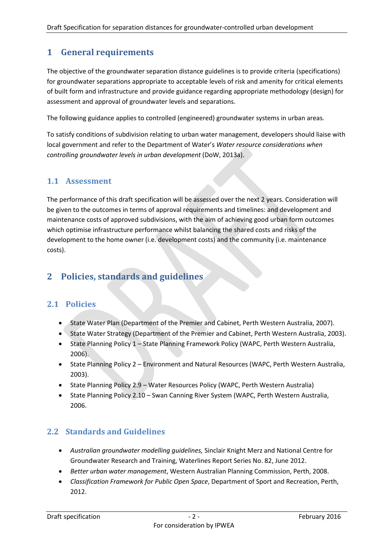# <span id="page-1-0"></span>**1 General requirements**

The objective of the groundwater separation distance guidelines is to provide criteria (specifications) for groundwater separations appropriate to acceptable levels of risk and amenity for critical elements of built form and infrastructure and provide guidance regarding appropriate methodology (design) for assessment and approval of groundwater levels and separations.

The following guidance applies to controlled (engineered) groundwater systems in urban areas.

To satisfy conditions of subdivision relating to urban water management, developers should liaise with local government and refer to the Department of Water's *Water resource considerations when controlling groundwater levels in urban development* (DoW, 2013a).

### **1.1 Assessment**

The performance of this draft specification will be assessed over the next 2 years. Consideration will be given to the outcomes in terms of approval requirements and timelines: and development and maintenance costs of approved subdivisions, with the aim of achieving good urban form outcomes which optimise infrastructure performance whilst balancing the shared costs and risks of the development to the home owner (i.e. development costs) and the community (i.e. maintenance costs).

# <span id="page-1-1"></span>**2 Policies, standards and guidelines**

### <span id="page-1-2"></span>**2.1 Policies**

- State Water Plan (Department of the Premier and Cabinet, Perth Western Australia, 2007).
- State Water Strategy (Department of the Premier and Cabinet, Perth Western Australia, 2003).
- State Planning Policy 1 State Planning Framework Policy (WAPC, Perth Western Australia, 2006).
- State Planning Policy 2 Environment and Natural Resources (WAPC, Perth Western Australia, 2003).
- State Planning Policy 2.9 Water Resources Policy (WAPC, Perth Western Australia)
- State Planning Policy 2.10 Swan Canning River System (WAPC, Perth Western Australia, 2006.

### <span id="page-1-3"></span>**2.2 Standards and Guidelines**

- *Australian groundwater modelling guidelines,* Sinclair Knight Merz and National Centre for Groundwater Research and Training, Waterlines Report Series No. 82, June 2012.
- *Better urban water management*, Western Australian Planning Commission, Perth, 2008.
- *Classification Framework for Public Open Space*, Department of Sport and Recreation, Perth, 2012.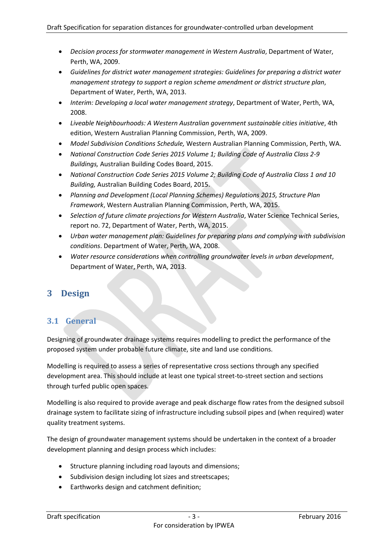- *Decision process for stormwater management in Western Australia*, Department of Water, Perth, WA, 2009.
- *Guidelines for district water management strategies: Guidelines for preparing a district water management strategy to support a region scheme amendment or district structure plan*, Department of Water, Perth, WA, 2013.
- *Interim: Developing a local water management strategy*, Department of Water, Perth, WA, 2008.
- *Liveable Neighbourhoods: A Western Australian government sustainable cities initiative*, 4th edition, Western Australian Planning Commission, Perth, WA, 2009.
- *Model Subdivision Conditions Schedule,* Western Australian Planning Commission, Perth, WA.
- *National Construction Code Series 2015 Volume 1; Building Code of Australia Class 2-9 Buildings,* Australian Building Codes Board, 2015.
- *National Construction Code Series 2015 Volume 2; Building Code of Australia Class 1 and 10 Building,* Australian Building Codes Board, 2015.
- *Planning and Development (Local Planning Schemes) Regulations 2015, Structure Plan Framework*, Western Australian Planning Commission, Perth, WA, 2015.
- *Selection of future climate projections for Western Australia*, Water Science Technical Series, report no. 72, Department of Water, Perth, WA, 2015.
- *Urban water management plan: Guidelines for preparing plans and complying with subdivision conditions*. Department of Water, Perth, WA, 2008.
- *Water resource considerations when controlling groundwater levels in urban development*, Department of Water, Perth, WA, 2013.

# <span id="page-2-0"></span>**3 Design**

### <span id="page-2-1"></span>**3.1 General**

Designing of groundwater drainage systems requires modelling to predict the performance of the proposed system under probable future climate, site and land use conditions.

Modelling is required to assess a series of representative cross sections through any specified development area. This should include at least one typical street-to-street section and sections through turfed public open spaces.

Modelling is also required to provide average and peak discharge flow rates from the designed subsoil drainage system to facilitate sizing of infrastructure including subsoil pipes and (when required) water quality treatment systems.

The design of groundwater management systems should be undertaken in the context of a broader development planning and design process which includes:

- Structure planning including road layouts and dimensions;
- Subdivision design including lot sizes and streetscapes;
- Earthworks design and catchment definition;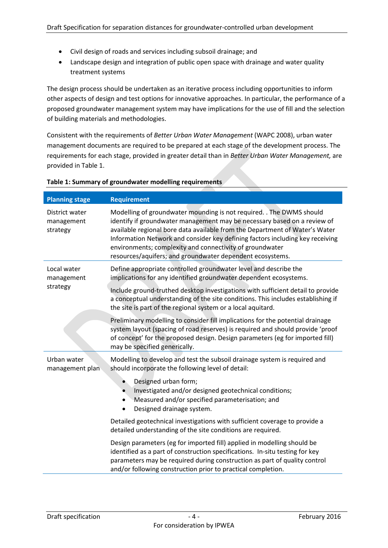- Civil design of roads and services including subsoil drainage; and
- Landscape design and integration of public open space with drainage and water quality treatment systems

The design process should be undertaken as an iterative process including opportunities to inform other aspects of design and test options for innovative approaches. In particular, the performance of a proposed groundwater management system may have implications for the use of fill and the selection of building materials and methodologies.

Consistent with the requirements of *Better Urban Water Management* (WAPC 2008), urban water management documents are required to be prepared at each stage of the development process. The requirements for each stage, provided in greater detail than in *Better Urban Water Management,* are provided in [Table](#page-3-0) 1.

| <b>Planning stage</b>                    | <b>Requirement</b>                                                                                                                                                                                                                                                                                                                                                                                                                        |  |  |
|------------------------------------------|-------------------------------------------------------------------------------------------------------------------------------------------------------------------------------------------------------------------------------------------------------------------------------------------------------------------------------------------------------------------------------------------------------------------------------------------|--|--|
| District water<br>management<br>strategy | Modelling of groundwater mounding is not required. . The DWMS should<br>identify if groundwater management may be necessary based on a review of<br>available regional bore data available from the Department of Water's Water<br>Information Network and consider key defining factors including key receiving<br>environments; complexity and connectivity of groundwater<br>resources/aquifers; and groundwater dependent ecosystems. |  |  |
| Local water<br>management                | Define appropriate controlled groundwater level and describe the<br>implications for any identified groundwater dependent ecosystems.                                                                                                                                                                                                                                                                                                     |  |  |
| strategy                                 | Include ground-truthed desktop investigations with sufficient detail to provide<br>a conceptual understanding of the site conditions. This includes establishing if<br>the site is part of the regional system or a local aquitard.                                                                                                                                                                                                       |  |  |
|                                          | Preliminary modelling to consider fill implications for the potential drainage<br>system layout (spacing of road reserves) is required and should provide 'proof<br>of concept' for the proposed design. Design parameters (eg for imported fill)<br>may be specified generically.                                                                                                                                                        |  |  |
| Urban water<br>management plan           | Modelling to develop and test the subsoil drainage system is required and<br>should incorporate the following level of detail:                                                                                                                                                                                                                                                                                                            |  |  |
|                                          | Designed urban form;<br>$\bullet$<br>Investigated and/or designed geotechnical conditions;<br>Measured and/or specified parameterisation; and<br>٠<br>Designed drainage system.<br>$\bullet$                                                                                                                                                                                                                                              |  |  |
|                                          | Detailed geotechnical investigations with sufficient coverage to provide a<br>detailed understanding of the site conditions are required.                                                                                                                                                                                                                                                                                                 |  |  |
|                                          | Design parameters (eg for imported fill) applied in modelling should be<br>identified as a part of construction specifications. In-situ testing for key<br>parameters may be required during construction as part of quality control<br>and/or following construction prior to practical completion.                                                                                                                                      |  |  |

#### <span id="page-3-0"></span>**Table 1: Summary of groundwater modelling requirements**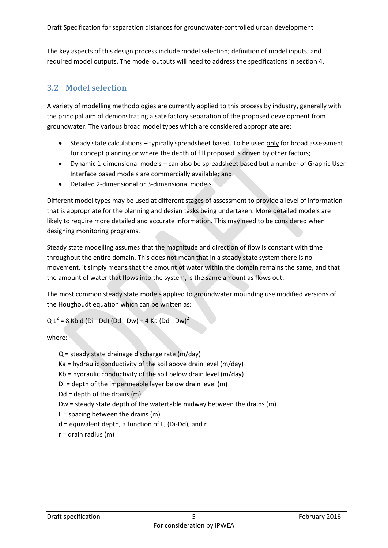The key aspects of this design process include model selection; definition of model inputs; and required model outputs. The model outputs will need to address the specifications in section [4.](#page-7-0)

### <span id="page-4-0"></span>**3.2 Model selection**

A variety of modelling methodologies are currently applied to this process by industry, generally with the principal aim of demonstrating a satisfactory separation of the proposed development from groundwater. The various broad model types which are considered appropriate are:

- Steady state calculations typically spreadsheet based. To be used only for broad assessment for concept planning or where the depth of fill proposed is driven by other factors;
- Dynamic 1-dimensional models can also be spreadsheet based but a number of Graphic User Interface based models are commercially available; and
- Detailed 2-dimensional or 3-dimensional models.

Different model types may be used at different stages of assessment to provide a level of information that is appropriate for the planning and design tasks being undertaken. More detailed models are likely to require more detailed and accurate information. This may need to be considered when designing monitoring programs.

Steady state modelling assumes that the magnitude and direction of flow is constant with time throughout the entire domain. This does not mean that in a steady state system there is no movement, it simply means that the amount of water within the domain remains the same, and that the amount of water that flows into the system, is the same amount as flows out.

The most common steady state models applied to groundwater mounding use modified versions of the Houghoudt equation which can be written as:

 $Q L<sup>2</sup> = 8$  Kb d (Di - Dd) (Dd - Dw) + 4 Ka (Dd - Dw)<sup>2</sup>

where:

- Q = steady state drainage discharge rate (m/day)
- Ka = hydraulic conductivity of the soil above drain level (m/day)
- Kb = hydraulic conductivity of the soil below drain level (m/day)
- Di = depth of the impermeable layer below drain level (m)
- $Dd =$  depth of the drains  $(m)$

Dw = steady state depth of the watertable midway between the drains (m)

 $L =$  spacing between the drains (m)

- d = equivalent depth, a function of L, (Di-Dd), and r
- <span id="page-4-1"></span> $r =$  drain radius (m)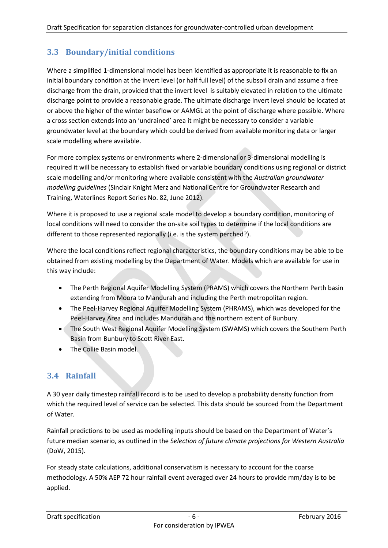# **3.3 Boundary/initial conditions**

Where a simplified 1-dimensional model has been identified as appropriate it is reasonable to fix an initial boundary condition at the invert level (or half full level) of the subsoil drain and assume a free discharge from the drain, provided that the invert level is suitably elevated in relation to the ultimate discharge point to provide a reasonable grade. The ultimate discharge invert level should be located at or above the higher of the winter baseflow or AAMGL at the point of discharge where possible. Where a cross section extends into an 'undrained' area it might be necessary to consider a variable groundwater level at the boundary which could be derived from available monitoring data or larger scale modelling where available.

For more complex systems or environments where 2-dimensional or 3-dimensional modelling is required it will be necessary to establish fixed or variable boundary conditions using regional or district scale modelling and/or monitoring where available consistent with the *Australian groundwater modelling guidelines* (Sinclair Knight Merz and National Centre for Groundwater Research and Training, Waterlines Report Series No. 82, June 2012).

Where it is proposed to use a regional scale model to develop a boundary condition, monitoring of local conditions will need to consider the on-site soil types to determine if the local conditions are different to those represented regionally (i.e. is the system perched?).

Where the local conditions reflect regional characteristics, the boundary conditions may be able to be obtained from existing modelling by the Department of Water. Models which are available for use in this way include:

- The Perth Regional Aquifer Modelling System (PRAMS) which covers the Northern Perth basin extending from Moora to Mandurah and including the Perth metropolitan region.
- The Peel-Harvey Regional Aquifer Modelling System (PHRAMS), which was developed for the Peel-Harvey Area and includes Mandurah and the northern extent of Bunbury.
- The South West Regional Aquifer Modelling System (SWAMS) which covers the Southern Perth Basin from Bunbury to Scott River East.
- The Collie Basin model.

# <span id="page-5-0"></span>**3.4 Rainfall**

A 30 year daily timestep rainfall record is to be used to develop a probability density function from which the required level of service can be selected. This data should be sourced from the Department of Water.

Rainfall predictions to be used as modelling inputs should be based on the Department of Water's future median scenario, as outlined in the S*election of future climate projections for Western Australia* (DoW, 2015).

For steady state calculations, additional conservatism is necessary to account for the coarse methodology. A 50% AEP 72 hour rainfall event averaged over 24 hours to provide mm/day is to be applied.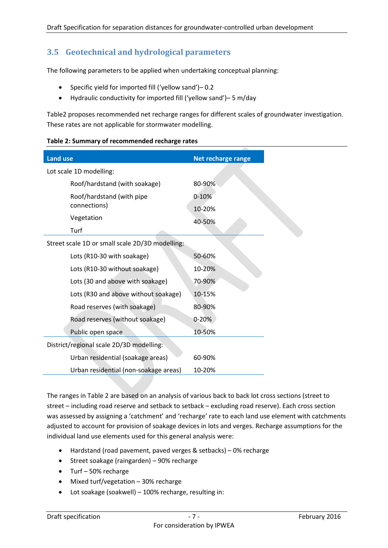### <span id="page-6-0"></span>**3.5 Geotechnical and hydrological parameters**

The following parameters to be applied when undertaking conceptual planning:

- Specific yield for imported fill ('yellow sand')– 0.2
- Hydraulic conductivity for imported fill ('yellow sand')– 5 m/day

[Table2](#page-6-1) proposes recommended net recharge ranges for different scales of groundwater investigation. These rates are not applicable for stormwater modelling.

| <b>Land use</b>                                 | Net recharge range |  |  |
|-------------------------------------------------|--------------------|--|--|
| Lot scale 1D modelling:                         |                    |  |  |
| Roof/hardstand (with soakage)                   | 80-90%             |  |  |
| Roof/hardstand (with pipe                       | $0 - 10%$          |  |  |
| connections)                                    | 10-20%             |  |  |
| Vegetation                                      | 40-50%             |  |  |
| Turf                                            |                    |  |  |
| Street scale 1D or small scale 2D/3D modelling: |                    |  |  |
| Lots (R10-30 with soakage)                      | 50-60%             |  |  |
| Lots (R10-30 without soakage)                   | 10-20%             |  |  |
| Lots (30 and above with soakage)                | 70-90%             |  |  |
| Lots (R30 and above without soakage)            | 10-15%             |  |  |
| Road reserves (with soakage)                    | 80-90%             |  |  |
| Road reserves (without soakage)                 | $0 - 20%$          |  |  |
| Public open space                               | 10-50%             |  |  |
| District/regional scale 2D/3D modelling:        |                    |  |  |
| Urban residential (soakage areas)               | 60-90%             |  |  |
| Urban residential (non-soakage areas)           | 10-20%             |  |  |

#### <span id="page-6-1"></span>**Table 2: Summary of recommended recharge rates**

The ranges in [Table](#page-6-1) 2 are based on an analysis of various back to back lot cross sections (street to street – including road reserve and setback to setback – excluding road reserve). Each cross section was assessed by assigning a 'catchment' and 'recharge' rate to each land use element with catchments adjusted to account for provision of soakage devices in lots and verges. Recharge assumptions for the individual land use elements used for this general analysis were:

- Hardstand (road pavement, paved verges & setbacks) 0% recharge
- Street soakage (raingarden) 90% recharge
- Turf 50% recharge
- Mixed turf/vegetation 30% recharge
- Lot soakage (soakwell) 100% recharge, resulting in: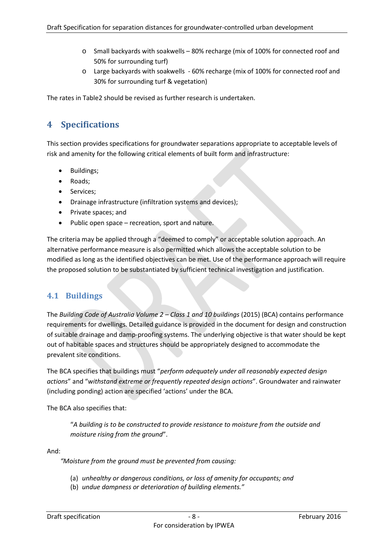- o Small backyards with soakwells 80% recharge (mix of 100% for connected roof and 50% for surrounding turf)
- o Large backyards with soakwells 60% recharge (mix of 100% for connected roof and 30% for surrounding turf & vegetation)

The rates in [Table2](#page-6-1) should be revised as further research is undertaken.

# <span id="page-7-0"></span>**4 Specifications**

This section provides specifications for groundwater separations appropriate to acceptable levels of risk and amenity for the following critical elements of built form and infrastructure:

- Buildings;
- Roads;
- Services;
- Drainage infrastructure (infiltration systems and devices);
- Private spaces; and
- Public open space recreation, sport and nature.

The criteria may be applied through a "deemed to comply" or acceptable solution approach. An alternative performance measure is also permitted which allows the acceptable solution to be modified as long as the identified objectives can be met. Use of the performance approach will require the proposed solution to be substantiated by sufficient technical investigation and justification.

### <span id="page-7-1"></span>**4.1 Buildings**

The *Building Code of Australia Volume 2 – Class 1 and 10 buildings* (2015) (BCA) contains performance requirements for dwellings. Detailed guidance is provided in the document for design and construction of suitable drainage and damp-proofing systems. The underlying objective is that water should be kept out of habitable spaces and structures should be appropriately designed to accommodate the prevalent site conditions.

The BCA specifies that buildings must "*perform adequately under all reasonably expected design actions*" and "*withstand extreme or frequently repeated design actions*". Groundwater and rainwater (including ponding) action are specified 'actions' under the BCA.

The BCA also specifies that:

"*A building is to be constructed to provide resistance to moisture from the outside and moisture rising from the ground*".

And:

*"Moisture from the ground must be prevented from causing:*

- (a) *unhealthy or dangerous conditions, or loss of amenity for occupants; and*
- (b) *undue dampness or deterioration of building elements."*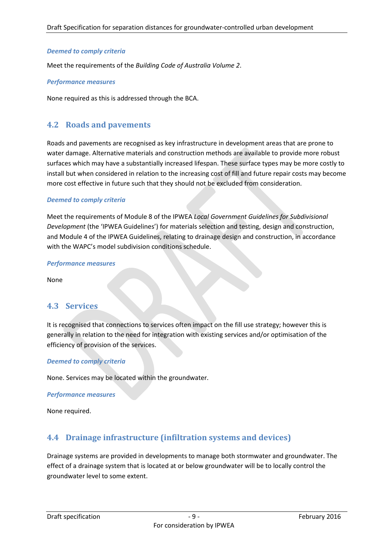#### *Deemed to comply criteria*

Meet the requirements of the *Building Code of Australia Volume 2*.

#### *Performance measures*

None required as this is addressed through the BCA.

### <span id="page-8-0"></span>**4.2 Roads and pavements**

Roads and pavements are recognised as key infrastructure in development areas that are prone to water damage. Alternative materials and construction methods are available to provide more robust surfaces which may have a substantially increased lifespan. These surface types may be more costly to install but when considered in relation to the increasing cost of fill and future repair costs may become more cost effective in future such that they should not be excluded from consideration.

#### *Deemed to comply criteria*

Meet the requirements of Module 8 of the IPWEA *Local Government Guidelines for Subdivisional Development* (the 'IPWEA Guidelines') for materials selection and testing, design and construction, and Module 4 of the IPWEA Guidelines, relating to drainage design and construction, in accordance with the WAPC's model subdivision conditions schedule.

#### *Performance measures*

None

### <span id="page-8-1"></span>**4.3 Services**

It is recognised that connections to services often impact on the fill use strategy; however this is generally in relation to the need for integration with existing services and/or optimisation of the efficiency of provision of the services.

#### *Deemed to comply criteria*

None. Services may be located within the groundwater.

#### *Performance measures*

None required.

### <span id="page-8-2"></span>**4.4 Drainage infrastructure (infiltration systems and devices)**

Drainage systems are provided in developments to manage both stormwater and groundwater. The effect of a drainage system that is located at or below groundwater will be to locally control the groundwater level to some extent.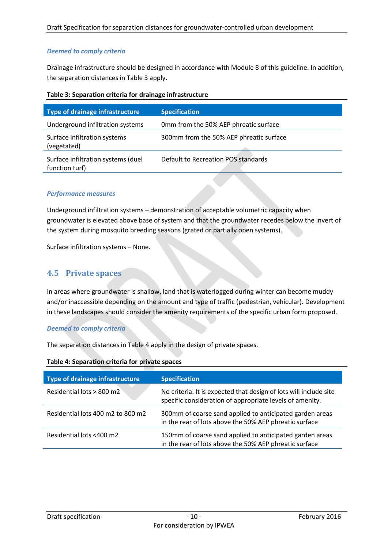#### *Deemed to comply criteria*

Drainage infrastructure should be designed in accordance with Module 8 of this guideline. In addition, the separation distances i[n Table](#page-9-1) 3 apply.

<span id="page-9-1"></span>

| Table 3: Separation criteria for drainage infrastructure |
|----------------------------------------------------------|
|----------------------------------------------------------|

| <b>Type of drainage infrastructure</b>               | <b>Specification</b>                    |
|------------------------------------------------------|-----------------------------------------|
| Underground infiltration systems                     | Omm from the 50% AEP phreatic surface   |
| Surface infiltration systems<br>(vegetated)          | 300mm from the 50% AEP phreatic surface |
| Surface infiltration systems (duel<br>function turf) | Default to Recreation POS standards     |

#### *Performance measures*

Underground infiltration systems – demonstration of acceptable volumetric capacity when groundwater is elevated above base of system and that the groundwater recedes below the invert of the system during mosquito breeding seasons (grated or partially open systems).

Surface infiltration systems – None.

#### <span id="page-9-0"></span>**4.5 Private spaces**

In areas where groundwater is shallow, land that is waterlogged during winter can become muddy and/or inaccessible depending on the amount and type of traffic (pedestrian, vehicular). Development in these landscapes should consider the amenity requirements of the specific urban form proposed.

#### *Deemed to comply criteria*

The separation distances in [Table](#page-9-2) 4 apply in the design of private spaces.

<span id="page-9-2"></span>

| Table 4: Separation criteria for private spaces |  |  |
|-------------------------------------------------|--|--|
|                                                 |  |  |

| <b>Type of drainage infrastructure</b> | <b>Specification</b>                                                                                                          |
|----------------------------------------|-------------------------------------------------------------------------------------------------------------------------------|
| Residential lots > 800 m2              | No criteria. It is expected that design of lots will include site<br>specific consideration of appropriate levels of amenity. |
| Residential lots 400 m2 to 800 m2      | 300mm of coarse sand applied to anticipated garden areas<br>in the rear of lots above the 50% AEP phreatic surface            |
| Residential lots <400 m2               | 150mm of coarse sand applied to anticipated garden areas<br>in the rear of lots above the 50% AEP phreatic surface            |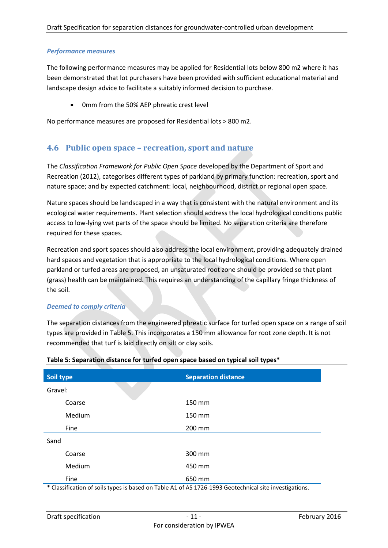#### *Performance measures*

The following performance measures may be applied for Residential lots below 800 m2 where it has been demonstrated that lot purchasers have been provided with sufficient educational material and landscape design advice to facilitate a suitably informed decision to purchase.

0mm from the 50% AEP phreatic crest level

No performance measures are proposed for Residential lots > 800 m2.

### <span id="page-10-0"></span>**4.6 Public open space – recreation, sport and nature**

The *Classification Framework for Public Open Space* developed by the Department of Sport and Recreation (2012), categorises different types of parkland by primary function: recreation, sport and nature space; and by expected catchment: local, neighbourhood, district or regional open space.

Nature spaces should be landscaped in a way that is consistent with the natural environment and its ecological water requirements. Plant selection should address the local hydrological conditions public access to low-lying wet parts of the space should be limited. No separation criteria are therefore required for these spaces.

Recreation and sport spaces should also address the local environment, providing adequately drained hard spaces and vegetation that is appropriate to the local hydrological conditions. Where open parkland or turfed areas are proposed, an unsaturated root zone should be provided so that plant (grass) health can be maintained. This requires an understanding of the capillary fringe thickness of the soil.

#### *Deemed to comply criteria*

The separation distances from the engineered phreatic surface for turfed open space on a range of soil types are provided in [Table 5.](#page-10-1) This incorporates a 150 mm allowance for root zone depth. It is not recommended that turf is laid directly on silt or clay soils.

| Soil type |        | <b>Separation distance</b> |
|-----------|--------|----------------------------|
| Gravel:   |        |                            |
|           | Coarse | 150 mm                     |
|           | Medium | 150 mm                     |
| Fine      |        | 200 mm                     |
| Sand      |        |                            |
|           | Coarse | 300 mm                     |
|           | Medium | 450 mm                     |
| Fine      |        | 650 mm                     |

#### <span id="page-10-1"></span>**Table 5: Separation distance for turfed open space based on typical soil types\***

\* Classification of soils types is based on Table A1 of AS 1726-1993 Geotechnical site investigations.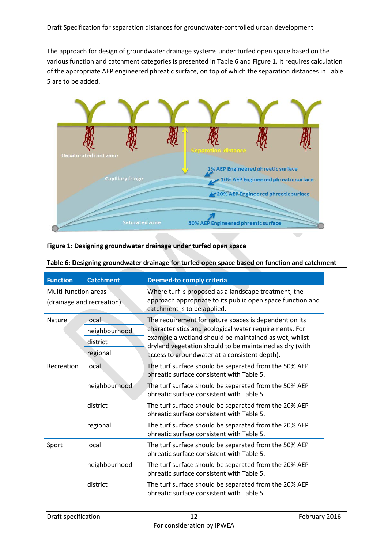The approach for design of groundwater drainage systems under turfed open space based on the various function and catchment categories is presented in [Table 6](#page-11-0) an[d Figure 1.](#page-11-1) It requires calculation of the appropriate AEP engineered phreatic surface, on top of which the separation distances i[n Table](#page-10-1)  [5](#page-10-1) are to be added.



<span id="page-11-1"></span>**Figure 1: Designing groundwater drainage under turfed open space**

| <b>Function</b>      | <b>Catchment</b>          | <b>Deemed-to comply criteria</b>                                                                                                                  |
|----------------------|---------------------------|---------------------------------------------------------------------------------------------------------------------------------------------------|
| Multi-function areas | (drainage and recreation) | Where turf is proposed as a landscape treatment, the<br>approach appropriate to its public open space function and<br>catchment is to be applied. |
| Nature               | local                     | The requirement for nature spaces is dependent on its                                                                                             |
|                      | neighbourhood             | characteristics and ecological water requirements. For                                                                                            |
|                      | district                  | example a wetland should be maintained as wet, whilst<br>dryland vegetation should to be maintained as dry (with                                  |
|                      | regional                  | access to groundwater at a consistent depth).                                                                                                     |
| Recreation           | local                     | The turf surface should be separated from the 50% AEP<br>phreatic surface consistent with Table 5.                                                |
|                      | neighbourhood             | The turf surface should be separated from the 50% AEP<br>phreatic surface consistent with Table 5.                                                |
|                      | district                  | The turf surface should be separated from the 20% AEP<br>phreatic surface consistent with Table 5.                                                |
|                      | regional                  | The turf surface should be separated from the 20% AEP<br>phreatic surface consistent with Table 5.                                                |
| Sport                | local                     | The turf surface should be separated from the 50% AEP<br>phreatic surface consistent with Table 5.                                                |
|                      | neighbourhood             | The turf surface should be separated from the 20% AEP<br>phreatic surface consistent with Table 5.                                                |
|                      | district                  | The turf surface should be separated from the 20% AEP<br>phreatic surface consistent with Table 5.                                                |

<span id="page-11-0"></span>**Table 6: Designing groundwater drainage for turfed open space based on function and catchment**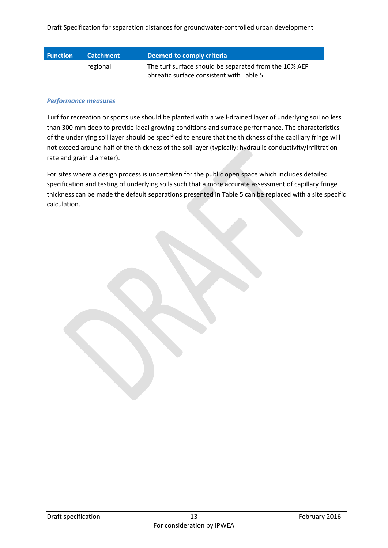| <b>Function</b> | <b>Catchment</b> | Deemed-to comply criteria                             |
|-----------------|------------------|-------------------------------------------------------|
|                 | regional         | The turf surface should be separated from the 10% AEP |
|                 |                  | phreatic surface consistent with Table 5.             |

#### *Performance measures*

Turf for recreation or sports use should be planted with a well-drained layer of underlying soil no less than 300 mm deep to provide ideal growing conditions and surface performance. The characteristics of the underlying soil layer should be specified to ensure that the thickness of the capillary fringe will not exceed around half of the thickness of the soil layer (typically: hydraulic conductivity/infiltration rate and grain diameter).

For sites where a design process is undertaken for the public open space which includes detailed specification and testing of underlying soils such that a more accurate assessment of capillary fringe thickness can be made the default separations presented in [Table 5](#page-10-1) can be replaced with a site specific calculation.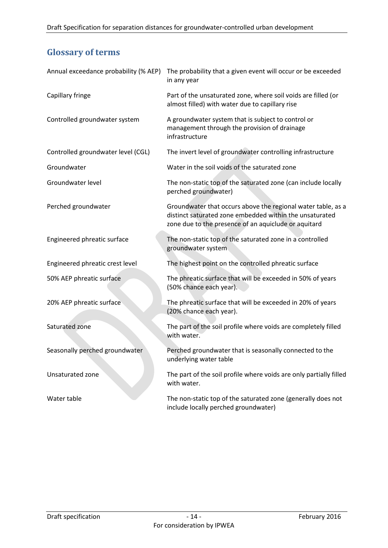# <span id="page-13-0"></span>**Glossary of terms**

| Annual exceedance probability (% AEP) | The probability that a given event will occur or be exceeded<br>in any year                                                                                                     |
|---------------------------------------|---------------------------------------------------------------------------------------------------------------------------------------------------------------------------------|
| Capillary fringe                      | Part of the unsaturated zone, where soil voids are filled (or<br>almost filled) with water due to capillary rise                                                                |
| Controlled groundwater system         | A groundwater system that is subject to control or<br>management through the provision of drainage<br>infrastructure                                                            |
| Controlled groundwater level (CGL)    | The invert level of groundwater controlling infrastructure                                                                                                                      |
| Groundwater                           | Water in the soil voids of the saturated zone                                                                                                                                   |
| Groundwater level                     | The non-static top of the saturated zone (can include locally<br>perched groundwater)                                                                                           |
| Perched groundwater                   | Groundwater that occurs above the regional water table, as a<br>distinct saturated zone embedded within the unsaturated<br>zone due to the presence of an aquiclude or aquitard |
| Engineered phreatic surface           | The non-static top of the saturated zone in a controlled<br>groundwater system                                                                                                  |
| Engineered phreatic crest level       | The highest point on the controlled phreatic surface                                                                                                                            |
| 50% AEP phreatic surface              | The phreatic surface that will be exceeded in 50% of years<br>(50% chance each year).                                                                                           |
| 20% AEP phreatic surface              | The phreatic surface that will be exceeded in 20% of years<br>(20% chance each year).                                                                                           |
| Saturated zone                        | The part of the soil profile where voids are completely filled<br>with water.                                                                                                   |
| Seasonally perched groundwater        | Perched groundwater that is seasonally connected to the<br>underlying water table                                                                                               |
| Unsaturated zone                      | The part of the soil profile where voids are only partially filled<br>with water.                                                                                               |
| Water table                           | The non-static top of the saturated zone (generally does not<br>include locally perched groundwater)                                                                            |